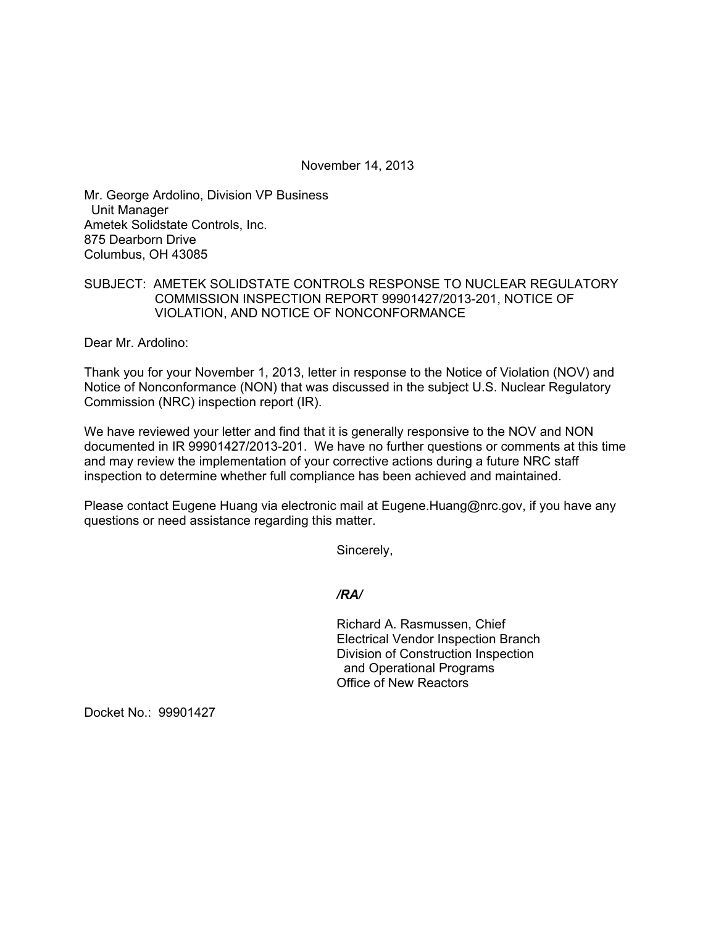November 14, 2013

Mr. George Ardolino, Division VP Business Unit Manager Ametek Solidstate Controls, Inc. 875 Dearborn Drive Columbus, OH 43085

## SUBJECT: AMETEK SOLIDSTATE CONTROLS RESPONSE TO NUCLEAR REGULATORY COMMISSION INSPECTION REPORT 99901427/2013-201, NOTICE OF VIOLATION, AND NOTICE OF NONCONFORMANCE

Dear Mr. Ardolino:

Thank you for your November 1, 2013, letter in response to the Notice of Violation (NOV) and Notice of Nonconformance (NON) that was discussed in the subject U.S. Nuclear Regulatory Commission (NRC) inspection report (IR).

We have reviewed your letter and find that it is generally responsive to the NOV and NON documented in IR 99901427/2013-201. We have no further questions or comments at this time and may review the implementation of your corrective actions during a future NRC staff inspection to determine whether full compliance has been achieved and maintained.

Please contact Eugene Huang via electronic mail at Eugene.Huang@nrc.gov, if you have any questions or need assistance regarding this matter.

Sincerely,

*/RA/* 

Richard A. Rasmussen, Chief Electrical Vendor Inspection Branch Division of Construction Inspection and Operational Programs Office of New Reactors

Docket No.: 99901427